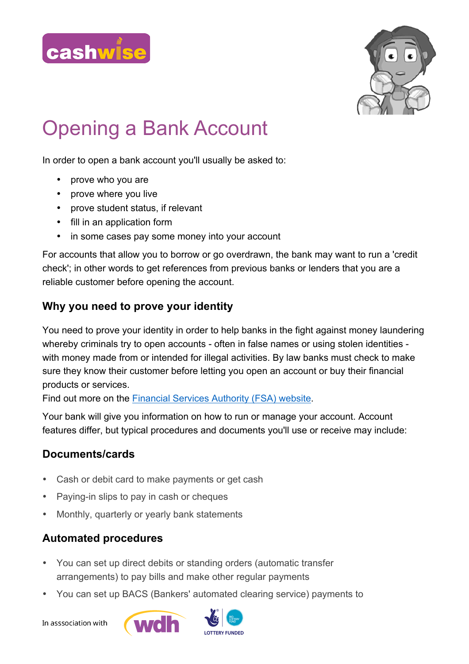



## Opening a Bank Account

In order to open a bank account you'll usually be asked to:

- prove who you are
- prove where you live
- prove student status, if relevant
- fill in an application form
- in some cases pay some money into your account

For accounts that allow you to borrow or go overdrawn, the bank may want to run a 'credit check'; in other words to get references from previous banks or lenders that you are a reliable customer before opening the account.

## **Why you need to prove your identity**

You need to prove your identity in order to help banks in the fight against money laundering whereby criminals try to open accounts - often in false names or using stolen identities with money made from or intended for illegal activities. By law banks must check to make sure they know their customer before letting you open an account or buy their financial products or services.

Find out more on the Financial Services Authority (FSA) website.

Your bank will give you information on how to run or manage your account. Account features differ, but typical procedures and documents you'll use or receive may include:

## **Documents/cards**

- Cash or debit card to make payments or get cash
- Paying-in slips to pay in cash or cheques
- Monthly, quarterly or yearly bank statements

## **Automated procedures**

- You can set up direct debits or standing orders (automatic transfer arrangements) to pay bills and make other regular payments
- You can set up BACS (Bankers' automated clearing service) payments to